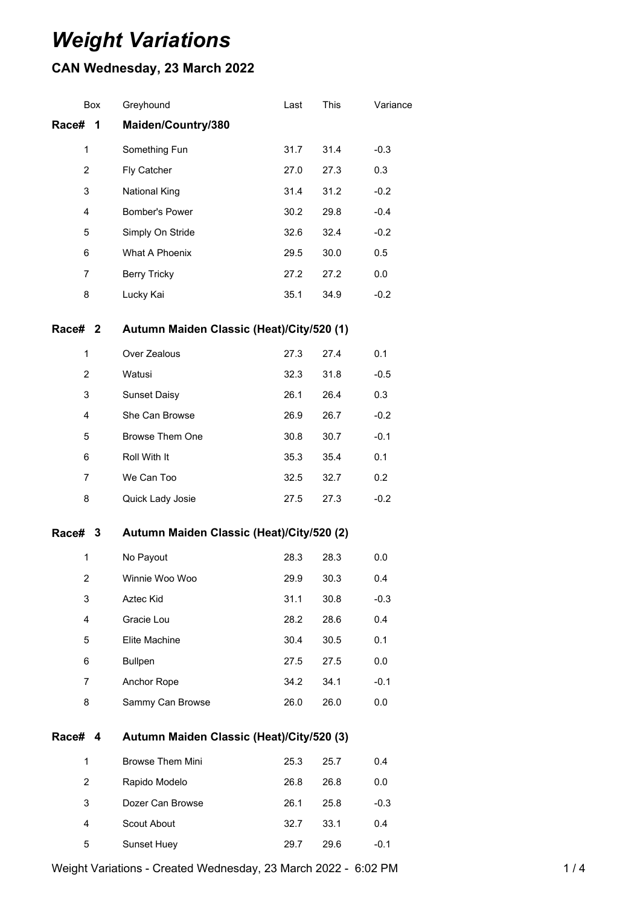# *Weight Variations*

## **CAN Wednesday, 23 March 2022**

|                                                      | Box                                                  | Greyhound               | Last | This | Variance |
|------------------------------------------------------|------------------------------------------------------|-------------------------|------|------|----------|
| Race#                                                | 1                                                    | Maiden/Country/380      |      |      |          |
| 1                                                    |                                                      | Something Fun           | 31.7 | 31.4 | $-0.3$   |
| $\overline{c}$                                       |                                                      | Fly Catcher             | 27.0 | 27.3 | 0.3      |
| 3                                                    |                                                      | <b>National King</b>    | 31.4 | 31.2 | $-0.2$   |
| 4                                                    |                                                      | Bomber's Power          | 30.2 | 29.8 | $-0.4$   |
| 5                                                    |                                                      | Simply On Stride        | 32.6 | 32.4 | $-0.2$   |
| 6                                                    |                                                      | What A Phoenix          | 29.5 | 30.0 | 0.5      |
| 7                                                    |                                                      | <b>Berry Tricky</b>     | 27.2 | 27.2 | 0.0      |
| 8                                                    |                                                      | Lucky Kai               | 35.1 | 34.9 | $-0.2$   |
|                                                      | Autumn Maiden Classic (Heat)/City/520 (1)<br>Race# 2 |                         |      |      |          |
| 1                                                    |                                                      | Over Zealous            | 27.3 | 27.4 | 0.1      |
| $\overline{c}$                                       |                                                      | Watusi                  | 32.3 | 31.8 | $-0.5$   |
| 3                                                    |                                                      | <b>Sunset Daisy</b>     | 26.1 | 26.4 | 0.3      |
| 4                                                    |                                                      | She Can Browse          | 26.9 | 26.7 | $-0.2$   |
| 5                                                    |                                                      | Browse Them One         | 30.8 | 30.7 | $-0.1$   |
| 6                                                    |                                                      | Roll With It            | 35.3 | 35.4 | 0.1      |
| 7                                                    |                                                      | We Can Too              | 32.5 | 32.7 | 0.2      |
| 8                                                    |                                                      | Quick Lady Josie        | 27.5 | 27.3 | $-0.2$   |
| Race# 3<br>Autumn Maiden Classic (Heat)/City/520 (2) |                                                      |                         |      |      |          |
| 1                                                    |                                                      | No Payout               | 28.3 | 28.3 | 0.0      |
| 2                                                    |                                                      | Winnie Woo Woo          | 29.9 | 30.3 | 0.4      |
| 3                                                    |                                                      | Aztec Kid               | 31.1 | 30.8 | $-0.3$   |
| 4                                                    |                                                      | Gracie Lou              | 28.2 | 28.6 | 0.4      |
| 5                                                    |                                                      | Elite Machine           | 30.4 | 30.5 | 0.1      |
| 6                                                    |                                                      | <b>Bullpen</b>          | 27.5 | 27.5 | 0.0      |
| $\overline{7}$                                       |                                                      | Anchor Rope             | 34.2 | 34.1 | $-0.1$   |
| 8                                                    |                                                      | Sammy Can Browse        | 26.0 | 26.0 | 0.0      |
|                                                      | Autumn Maiden Classic (Heat)/City/520 (3)<br>Race# 4 |                         |      |      |          |
| 1                                                    |                                                      | <b>Browse Them Mini</b> | 25.3 | 25.7 | 0.4      |
| 2                                                    |                                                      | Rapido Modelo           | 26.8 | 26.8 | 0.0      |
| 3                                                    |                                                      | Dozer Can Browse        | 26.1 | 25.8 | $-0.3$   |
| 4                                                    |                                                      | Scout About             | 32.7 | 33.1 | 0.4      |
| 5                                                    |                                                      | Sunset Huey             | 29.7 | 29.6 | $-0.1$   |

Weight Variations - Created Wednesday, 23 March 2022 - 6:02 PM 1/4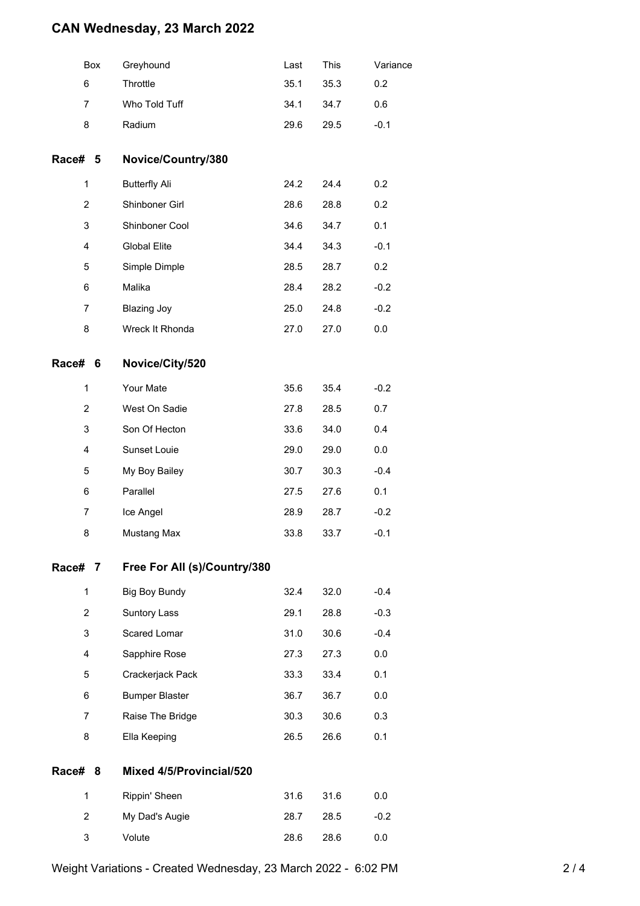### **CAN Wednesday, 23 March 2022**

|         | Box            | Greyhound                    | Last | This | Variance |
|---------|----------------|------------------------------|------|------|----------|
|         | 6              | Throttle                     | 35.1 | 35.3 | 0.2      |
|         | $\overline{7}$ | Who Told Tuff                | 34.1 | 34.7 | 0.6      |
|         | 8              | Radium                       | 29.6 | 29.5 | $-0.1$   |
| Race# 5 |                | Novice/Country/380           |      |      |          |
|         | 1              | <b>Butterfly Ali</b>         | 24.2 | 24.4 | 0.2      |
|         | $\overline{2}$ | Shinboner Girl               | 28.6 | 28.8 | 0.2      |
|         | 3              | Shinboner Cool               | 34.6 | 34.7 | 0.1      |
|         | 4              | <b>Global Elite</b>          | 34.4 | 34.3 | $-0.1$   |
|         | 5              | Simple Dimple                | 28.5 | 28.7 | 0.2      |
|         | 6              | Malika                       | 28.4 | 28.2 | $-0.2$   |
|         | $\overline{7}$ | <b>Blazing Joy</b>           | 25.0 | 24.8 | $-0.2$   |
|         | 8              | Wreck It Rhonda              | 27.0 | 27.0 | 0.0      |
| Race# 6 |                | Novice/City/520              |      |      |          |
|         | 1              | Your Mate                    | 35.6 | 35.4 | $-0.2$   |
|         | $\overline{2}$ | West On Sadie                | 27.8 | 28.5 | 0.7      |
|         | 3              | Son Of Hecton                | 33.6 | 34.0 | 0.4      |
|         | 4              | Sunset Louie                 | 29.0 | 29.0 | 0.0      |
|         | 5              | My Boy Bailey                | 30.7 | 30.3 | $-0.4$   |
|         | 6              | Parallel                     | 27.5 | 27.6 | 0.1      |
|         | $\overline{7}$ | Ice Angel                    | 28.9 | 28.7 | $-0.2$   |
|         | 8              | Mustang Max                  | 33.8 | 33.7 | $-0.1$   |
| Race# 7 |                | Free For All (s)/Country/380 |      |      |          |
|         | 1              | <b>Big Boy Bundy</b>         | 32.4 | 32.0 | $-0.4$   |
|         | $\overline{c}$ | Suntory Lass                 | 29.1 | 28.8 | $-0.3$   |
|         | 3              | Scared Lomar                 | 31.0 | 30.6 | $-0.4$   |
|         | 4              | Sapphire Rose                | 27.3 | 27.3 | 0.0      |
|         | 5              | Crackerjack Pack             | 33.3 | 33.4 | 0.1      |
|         | 6              | <b>Bumper Blaster</b>        | 36.7 | 36.7 | 0.0      |
|         | $\overline{7}$ | Raise The Bridge             | 30.3 | 30.6 | 0.3      |
|         | 8              | Ella Keeping                 | 26.5 | 26.6 | 0.1      |
| Race# 8 |                | Mixed 4/5/Provincial/520     |      |      |          |
|         | 1              | Rippin' Sheen                | 31.6 | 31.6 | 0.0      |
|         | $\overline{c}$ | My Dad's Augie               | 28.7 | 28.5 | $-0.2$   |
|         | 3              | Volute                       | 28.6 | 28.6 | 0.0      |
|         |                |                              |      |      |          |

Weight Variations - Created Wednesday, 23 March 2022 - 6:02 PM 2 / 4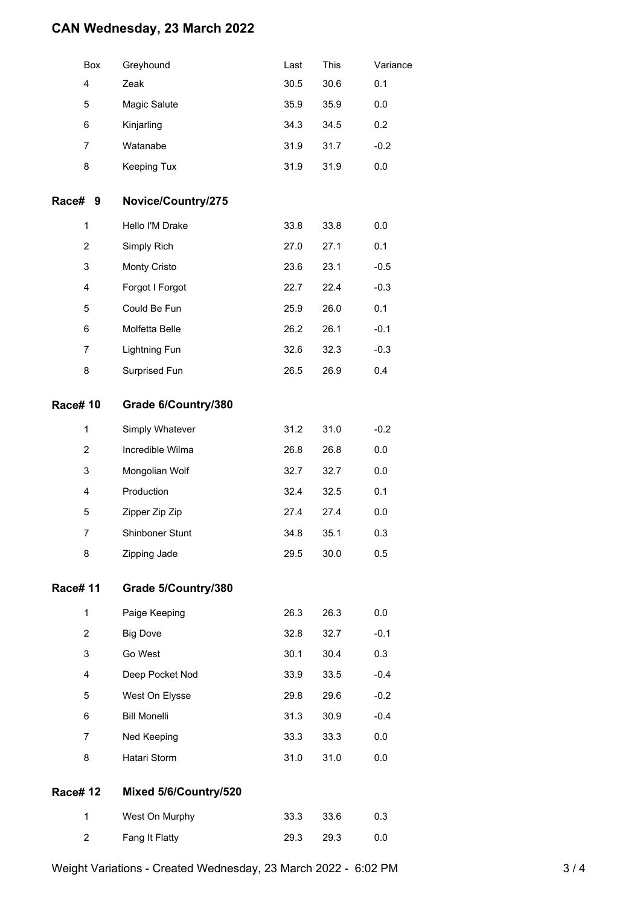### **CAN Wednesday, 23 March 2022**

|                | Box            | Greyhound             | Last | This | Variance |
|----------------|----------------|-----------------------|------|------|----------|
|                | 4              | Zeak                  | 30.5 | 30.6 | 0.1      |
|                | 5              | Magic Salute          | 35.9 | 35.9 | 0.0      |
|                | 6              | Kinjarling            | 34.3 | 34.5 | 0.2      |
|                | 7              | Watanabe              | 31.9 | 31.7 | $-0.2$   |
|                | 8              | Keeping Tux           | 31.9 | 31.9 | 0.0      |
| Race#          | 9              | Novice/Country/275    |      |      |          |
|                | 1              | Hello I'M Drake       | 33.8 | 33.8 | 0.0      |
|                | $\overline{2}$ | Simply Rich           | 27.0 | 27.1 | 0.1      |
|                | 3              | Monty Cristo          | 23.6 | 23.1 | $-0.5$   |
|                | 4              | Forgot I Forgot       | 22.7 | 22.4 | $-0.3$   |
|                | 5              | Could Be Fun          | 25.9 | 26.0 | 0.1      |
|                | 6              | Molfetta Belle        | 26.2 | 26.1 | $-0.1$   |
|                | 7              | Lightning Fun         | 32.6 | 32.3 | $-0.3$   |
|                | 8              | Surprised Fun         | 26.5 | 26.9 | 0.4      |
| <b>Race#10</b> |                | Grade 6/Country/380   |      |      |          |
|                | $\mathbf{1}$   | Simply Whatever       | 31.2 | 31.0 | $-0.2$   |
|                | $\overline{2}$ | Incredible Wilma      | 26.8 | 26.8 | 0.0      |
|                | 3              | Mongolian Wolf        | 32.7 | 32.7 | 0.0      |
|                | $\overline{4}$ | Production            | 32.4 | 32.5 | 0.1      |
|                | 5              | Zipper Zip Zip        | 27.4 | 27.4 | 0.0      |
|                | 7              | Shinboner Stunt       | 34.8 | 35.1 | 0.3      |
|                | 8              | Zipping Jade          | 29.5 | 30.0 | 0.5      |
| <b>Race#11</b> |                | Grade 5/Country/380   |      |      |          |
|                | 1              | Paige Keeping         | 26.3 | 26.3 | 0.0      |
|                | $\overline{2}$ | <b>Big Dove</b>       | 32.8 | 32.7 | $-0.1$   |
|                | 3              | Go West               | 30.1 | 30.4 | 0.3      |
|                | 4              | Deep Pocket Nod       | 33.9 | 33.5 | $-0.4$   |
|                | 5              | West On Elysse        | 29.8 | 29.6 | $-0.2$   |
|                | 6              | <b>Bill Monelli</b>   | 31.3 | 30.9 | $-0.4$   |
|                | 7              | Ned Keeping           | 33.3 | 33.3 | 0.0      |
|                | 8              | Hatari Storm          | 31.0 | 31.0 | 0.0      |
| <b>Race#12</b> |                | Mixed 5/6/Country/520 |      |      |          |
|                | 1              | West On Murphy        | 33.3 | 33.6 | 0.3      |
|                | 2              | Fang It Flatty        | 29.3 | 29.3 | 0.0      |